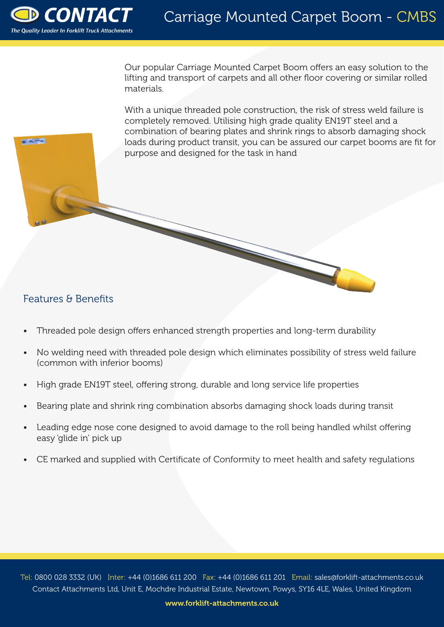

**Barthard** 

Our popular Carriage Mounted Carpet Boom offers an easy solution to the lifting and transport of carpets and all other floor covering or similar rolled materials.

With a unique threaded pole construction, the risk of stress weld failure is completely removed. Utilising high grade quality EN19T steel and a combination of bearing plates and shrink rings to absorb damaging shock loads during product transit, you can be assured our carpet booms are fit for purpose and designed for the task in hand

## Features & Benefits

- Threaded pole design offers enhanced strength properties and long-term durability
- No welding need with threaded pole design which eliminates possibility of stress weld failure (common with inferior booms)
- High grade EN19T steel, offering strong, durable and long service life properties
- Bearing plate and shrink ring combination absorbs damaging shock loads during transit
- Leading edge nose cone designed to avoid damage to the roll being handled whilst offering easy 'glide in' pick up
- CE marked and supplied with Certificate of Conformity to meet health and safety regulations

Tel: 0800 028 3332 (UK) Inter: +44 (0)1686 611 200 Fax: +44 (0)1686 611 201 Email: sales@forklift-attachments.co.uk Contact Attachments Ltd, Unit E, Mochdre Industrial Estate, Newtown, Powys, SY16 4LE, Wales, United Kingdom

www.forklift-attachments.co.uk